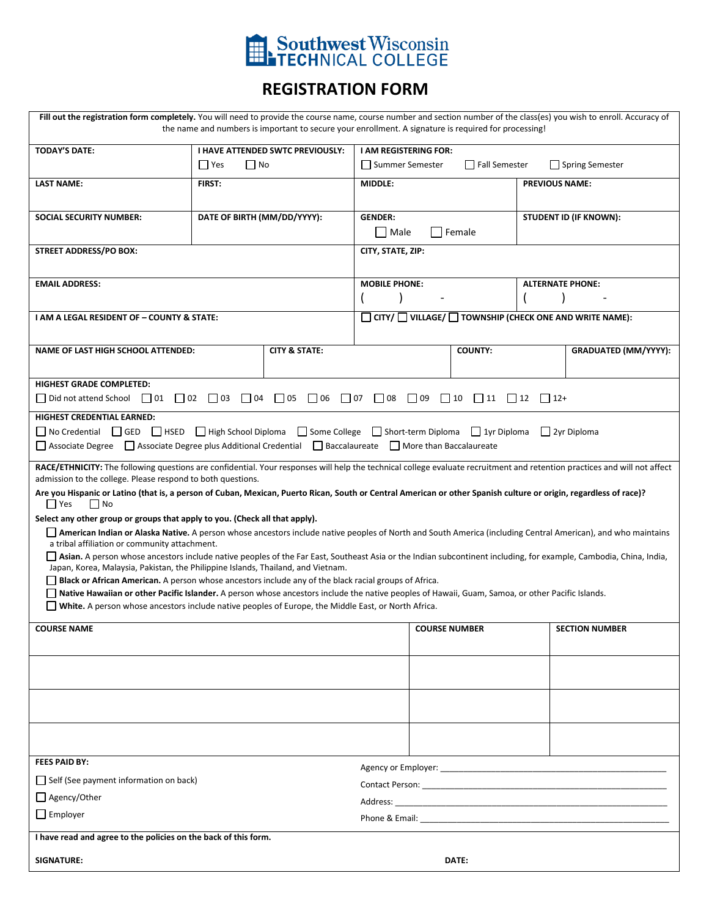

## **REGISTRATION FORM**

| Fill out the registration form completely. You will need to provide the course name, course number and section number of the class(es) you wish to enroll. Accuracy of<br>the name and numbers is important to secure your enrollment. A signature is required for processing! |                                  |                                         |                                                                    |                        |                              |                             |  |  |
|--------------------------------------------------------------------------------------------------------------------------------------------------------------------------------------------------------------------------------------------------------------------------------|----------------------------------|-----------------------------------------|--------------------------------------------------------------------|------------------------|------------------------------|-----------------------------|--|--|
| <b>TODAY'S DATE:</b>                                                                                                                                                                                                                                                           |                                  | <b>I HAVE ATTENDED SWTC PREVIOUSLY:</b> | <b>I AM REGISTERING FOR:</b>                                       |                        |                              |                             |  |  |
|                                                                                                                                                                                                                                                                                | $\Box$ No<br>$\Box$ Yes          |                                         | Summer Semester                                                    | Fall Semester          |                              | □ Spring Semester           |  |  |
| <b>LAST NAME:</b>                                                                                                                                                                                                                                                              | FIRST:                           |                                         | MIDDLE:                                                            |                        | <b>PREVIOUS NAME:</b>        |                             |  |  |
|                                                                                                                                                                                                                                                                                |                                  |                                         |                                                                    |                        |                              |                             |  |  |
| <b>SOCIAL SECURITY NUMBER:</b>                                                                                                                                                                                                                                                 | DATE OF BIRTH (MM/DD/YYYY):      |                                         | <b>GENDER:</b>                                                     |                        | STUDENT ID (IF KNOWN):       |                             |  |  |
|                                                                                                                                                                                                                                                                                |                                  |                                         | Male                                                               | Female                 |                              |                             |  |  |
| <b>STREET ADDRESS/PO BOX:</b>                                                                                                                                                                                                                                                  |                                  |                                         | CITY, STATE, ZIP:                                                  |                        |                              |                             |  |  |
|                                                                                                                                                                                                                                                                                |                                  |                                         |                                                                    |                        |                              |                             |  |  |
| <b>EMAIL ADDRESS:</b>                                                                                                                                                                                                                                                          |                                  |                                         | <b>MOBILE PHONE:</b>                                               |                        |                              | <b>ALTERNATE PHONE:</b>     |  |  |
|                                                                                                                                                                                                                                                                                |                                  |                                         |                                                                    |                        |                              |                             |  |  |
| I AM A LEGAL RESIDENT OF - COUNTY & STATE:                                                                                                                                                                                                                                     |                                  |                                         | $CITY / \Box$ VILLAGE/ $\Box$ TOWNSHIP (CHECK ONE AND WRITE NAME): |                        |                              |                             |  |  |
|                                                                                                                                                                                                                                                                                |                                  |                                         |                                                                    |                        |                              |                             |  |  |
| <b>NAME OF LAST HIGH SCHOOL ATTENDED:</b>                                                                                                                                                                                                                                      |                                  | <b>CITY &amp; STATE:</b>                |                                                                    | <b>COUNTY:</b>         |                              | <b>GRADUATED (MM/YYYY):</b> |  |  |
|                                                                                                                                                                                                                                                                                |                                  |                                         |                                                                    |                        |                              |                             |  |  |
| <b>HIGHEST GRADE COMPLETED:</b>                                                                                                                                                                                                                                                |                                  |                                         |                                                                    |                        |                              |                             |  |  |
| $\Box$ Did not attend School $\Box$ 01                                                                                                                                                                                                                                         | $\Box$ 02 $\Box$ 03<br>$\Box$ 04 | $\Box$ 05<br>$\Box$ 06                  | $\Box$ 07<br>$\Box$ 08<br>$\Box$ 09                                | $\Box$ 10<br>$\Box$ 11 | $\sqrt{12}$<br>$\lfloor$ 12+ |                             |  |  |
| HIGHEST CREDENTIAL EARNED:                                                                                                                                                                                                                                                     |                                  |                                         |                                                                    |                        |                              |                             |  |  |
| No Credential GED HSED High School Diploma Some College Short-term Diploma 1yr Diploma                                                                                                                                                                                         |                                  |                                         |                                                                    |                        |                              | $\Box$ 2yr Diploma          |  |  |
| △ Associate Degree △ Associate Degree plus Additional Credential △ Baccalaureate △ More than Baccalaureate                                                                                                                                                                     |                                  |                                         |                                                                    |                        |                              |                             |  |  |
| RACE/ETHNICITY: The following questions are confidential. Your responses will help the technical college evaluate recruitment and retention practices and will not affect                                                                                                      |                                  |                                         |                                                                    |                        |                              |                             |  |  |
| admission to the college. Please respond to both questions.                                                                                                                                                                                                                    |                                  |                                         |                                                                    |                        |                              |                             |  |  |
| Are you Hispanic or Latino (that is, a person of Cuban, Mexican, Puerto Rican, South or Central American or other Spanish culture or origin, regardless of race)?                                                                                                              |                                  |                                         |                                                                    |                        |                              |                             |  |  |
| $\Box$ Yes<br>  No<br>Select any other group or groups that apply to you. (Check all that apply).                                                                                                                                                                              |                                  |                                         |                                                                    |                        |                              |                             |  |  |
| American Indian or Alaska Native. A person whose ancestors include native peoples of North and South America (including Central American), and who maintains                                                                                                                   |                                  |                                         |                                                                    |                        |                              |                             |  |  |
| a tribal affiliation or community attachment.                                                                                                                                                                                                                                  |                                  |                                         |                                                                    |                        |                              |                             |  |  |
| Asian. A person whose ancestors include native peoples of the Far East, Southeast Asia or the Indian subcontinent including, for example, Cambodia, China, India,<br>Japan, Korea, Malaysia, Pakistan, the Philippine Islands, Thailand, and Vietnam.                          |                                  |                                         |                                                                    |                        |                              |                             |  |  |
| <b>Black or African American.</b> A person whose ancestors include any of the black racial groups of Africa.                                                                                                                                                                   |                                  |                                         |                                                                    |                        |                              |                             |  |  |
| □ Native Hawaiian or other Pacific Islander. A person whose ancestors include the native peoples of Hawaii, Guam, Samoa, or other Pacific Islands.                                                                                                                             |                                  |                                         |                                                                    |                        |                              |                             |  |  |
| White. A person whose ancestors include native peoples of Europe, the Middle East, or North Africa.                                                                                                                                                                            |                                  |                                         |                                                                    |                        |                              |                             |  |  |
| <b>COURSE NAME</b>                                                                                                                                                                                                                                                             |                                  |                                         | <b>COURSE NUMBER</b>                                               |                        |                              | <b>SECTION NUMBER</b>       |  |  |
|                                                                                                                                                                                                                                                                                |                                  |                                         |                                                                    |                        |                              |                             |  |  |
|                                                                                                                                                                                                                                                                                |                                  |                                         |                                                                    |                        |                              |                             |  |  |
|                                                                                                                                                                                                                                                                                |                                  |                                         |                                                                    |                        |                              |                             |  |  |
|                                                                                                                                                                                                                                                                                |                                  |                                         |                                                                    |                        |                              |                             |  |  |
|                                                                                                                                                                                                                                                                                |                                  |                                         |                                                                    |                        |                              |                             |  |  |
|                                                                                                                                                                                                                                                                                |                                  |                                         |                                                                    |                        |                              |                             |  |  |
|                                                                                                                                                                                                                                                                                |                                  |                                         |                                                                    |                        |                              |                             |  |  |
| FEES PAID BY:                                                                                                                                                                                                                                                                  |                                  |                                         |                                                                    |                        |                              |                             |  |  |
| $\Box$ Self (See payment information on back)                                                                                                                                                                                                                                  |                                  |                                         | Agency or Employer: Agency or Employer:                            |                        |                              |                             |  |  |
| □ Agency/Other                                                                                                                                                                                                                                                                 |                                  |                                         |                                                                    |                        |                              |                             |  |  |
| $\Box$ Employer                                                                                                                                                                                                                                                                |                                  |                                         |                                                                    |                        |                              |                             |  |  |
|                                                                                                                                                                                                                                                                                |                                  |                                         |                                                                    |                        |                              |                             |  |  |
| I have read and agree to the policies on the back of this form.                                                                                                                                                                                                                |                                  |                                         |                                                                    |                        |                              |                             |  |  |
| <b>SIGNATURE:</b>                                                                                                                                                                                                                                                              |                                  |                                         |                                                                    | DATE:                  |                              |                             |  |  |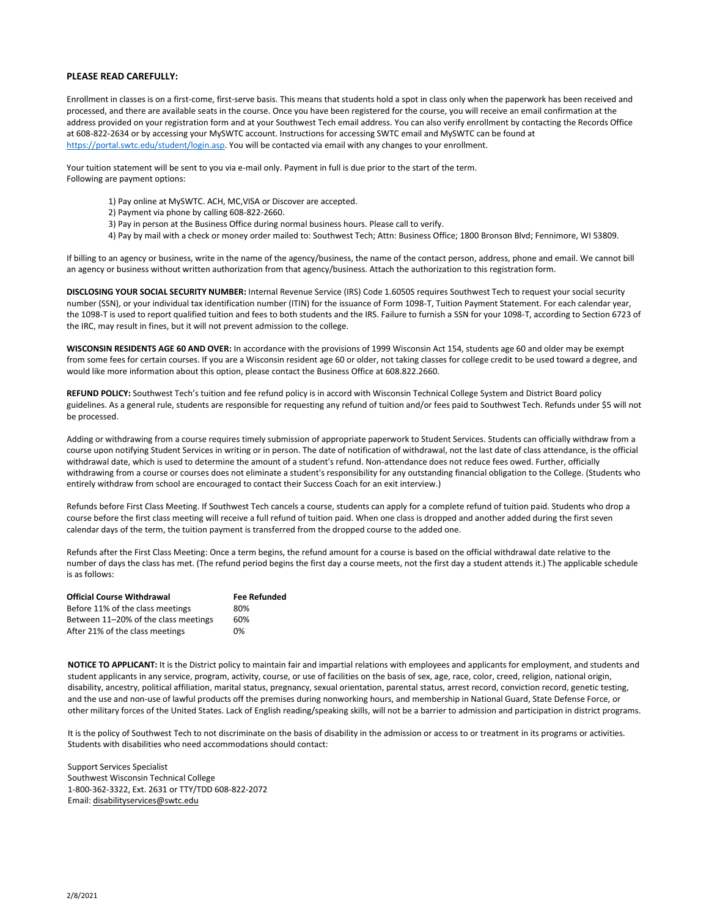## **PLEASE READ CAREFULLY:**

Enrollment in classes is on a first-come, first-serve basis. This means that students hold a spot in class only when the paperwork has been received and processed, and there are available seats in the course. Once you have been registered for the course, you will receive an email confirmation at the address provided on your registration form and at your Southwest Tech email address. You can also verify enrollment by contacting the Records Office at 608-822-2634 or by accessing your MySWTC account. Instructions for accessing SWTC email and MySWTC can be found at [https://portal.swtc.edu/student/login.asp.](https://portal.swtc.edu/student/login.asp) You will be contacted via email with any changes to your enrollment.

Your tuition statement will be sent to you via e-mail only. Payment in full is due prior to the start of the term. Following are payment options:

- 1) Pay online at MySWTC. ACH, MC,VISA or Discover are accepted.
- 2) Payment via phone by calling 608-822-2660.
- 3) Pay in person at the Business Office during normal business hours. Please call to verify.
- 4) Pay by mail with a check or money order mailed to: Southwest Tech; Attn: Business Office; 1800 Bronson Blvd; Fennimore, WI 53809.

If billing to an agency or business, write in the name of the agency/business, the name of the contact person, address, phone and email. We cannot bill an agency or business without written authorization from that agency/business. Attach the authorization to this registration form.

**DISCLOSING YOUR SOCIAL SECURITY NUMBER:** Internal Revenue Service (IRS) Code 1.6050S requires Southwest Tech to request your social security number (SSN), or your individual tax identification number (ITIN) for the issuance of Form 1098-T, Tuition Payment Statement. For each calendar year, the 1098-T is used to report qualified tuition and fees to both students and the IRS. Failure to furnish a SSN for your 1098-T, according to Section 6723 of the IRC, may result in fines, but it will not prevent admission to the college.

**WISCONSIN RESIDENTS AGE 60 AND OVER:** In accordance with the provisions of 1999 Wisconsin Act 154, students age 60 and older may be exempt from some fees for certain courses. If you are a Wisconsin resident age 60 or older, not taking classes for college credit to be used toward a degree, and would like more information about this option, please contact the Business Office at 608.822.2660.

**REFUND POLICY:** Southwest Tech's tuition and fee refund policy is in accord with Wisconsin Technical College System and District Board policy guidelines. As a general rule, students are responsible for requesting any refund of tuition and/or fees paid to Southwest Tech. Refunds under \$5 will not be processed.

Adding or withdrawing from a course requires timely submission of appropriate paperwork to Student Services. Students can officially withdraw from a course upon notifying Student Services in writing or in person. The date of notification of withdrawal, not the last date of class attendance, is the official withdrawal date, which is used to determine the amount of a student's refund. Non-attendance does not reduce fees owed. Further, officially withdrawing from a course or courses does not eliminate a student's responsibility for any outstanding financial obligation to the College. (Students who entirely withdraw from school are encouraged to contact their Success Coach for an exit interview.)

Refunds before First Class Meeting. If Southwest Tech cancels a course, students can apply for a complete refund of tuition paid. Students who drop a course before the first class meeting will receive a full refund of tuition paid. When one class is dropped and another added during the first seven calendar days of the term, the tuition payment is transferred from the dropped course to the added one.

Refunds after the First Class Meeting: Once a term begins, the refund amount for a course is based on the official withdrawal date relative to the number of days the class has met. (The refund period begins the first day a course meets, not the first day a student attends it.) The applicable schedule is as follows:

| <b>Official Course Withdrawal</b>    | <b>Fee Refunded</b> |
|--------------------------------------|---------------------|
| Before 11% of the class meetings     | 80%                 |
| Between 11-20% of the class meetings | 60%                 |
| After 21% of the class meetings      | 0%                  |

**NOTICE TO APPLICANT:** It is the District policy to maintain fair and impartial relations with employees and applicants for employment, and students and student applicants in any service, program, activity, course, or use of facilities on the basis of sex, age, race, color, creed, religion, national origin, disability, ancestry, political affiliation, marital status, pregnancy, sexual orientation, parental status, arrest record, conviction record, genetic testing, and the use and non-use of lawful products off the premises during nonworking hours, and membership in National Guard, State Defense Force, or other military forces of the United States. Lack of English reading/speaking skills, will not be a barrier to admission and participation in district programs.

It is the policy of Southwest Tech to not discriminate on the basis of disability in the admission or access to or treatment in its programs or activities. Students with disabilities who need accommodations should contact:

Support Services Specialist Southwest Wisconsin Technical College 1-800-362-3322, Ext. 2631 or TTY/TDD 608-822-2072 Email: [disabilityservices@swtc.edu](mailto:disabilityservices@swtc.edu)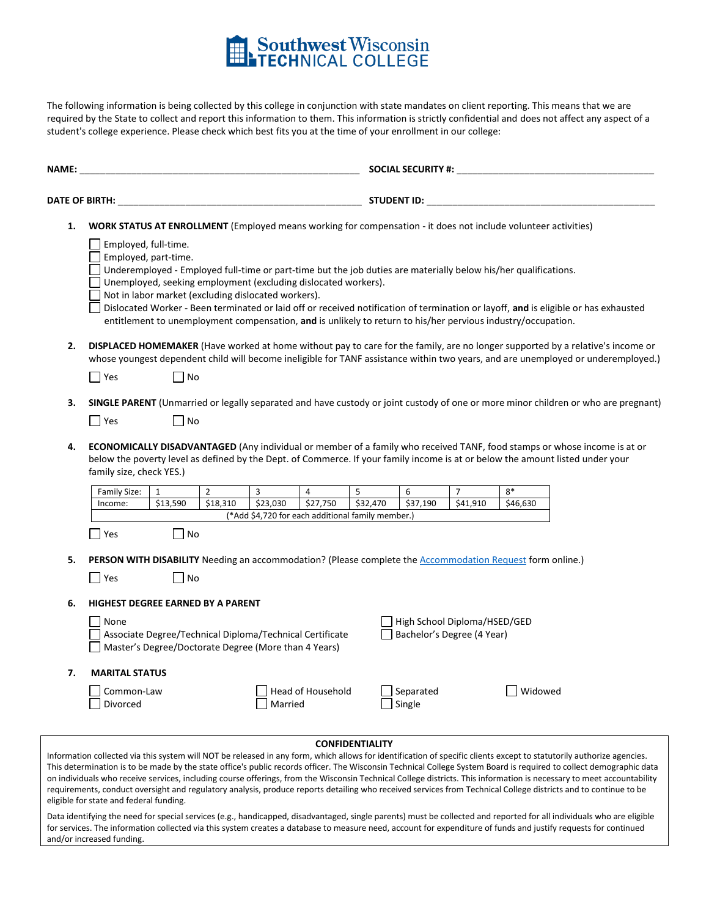

The following information is being collected by this college in conjunction with state mandates on client reporting. This means that we are required by the State to collect and report this information to them. This information is strictly confidential and does not affect any aspect of a student's college experience. Please check which best fits you at the time of your enrollment in our college:

| NAME:                 |                                                                                                                         |                             |                |                                                                                                                       |                          |                        | <b>SOCIAL SECURITY #:</b> |                                                            |                                                                                                                                                                                                                                 |                                                                                                                                                                                                                                                                                                                                                                                                                                                                                                                                                                                                                                                                                          |  |
|-----------------------|-------------------------------------------------------------------------------------------------------------------------|-----------------------------|----------------|-----------------------------------------------------------------------------------------------------------------------|--------------------------|------------------------|---------------------------|------------------------------------------------------------|---------------------------------------------------------------------------------------------------------------------------------------------------------------------------------------------------------------------------------|------------------------------------------------------------------------------------------------------------------------------------------------------------------------------------------------------------------------------------------------------------------------------------------------------------------------------------------------------------------------------------------------------------------------------------------------------------------------------------------------------------------------------------------------------------------------------------------------------------------------------------------------------------------------------------------|--|
| <b>DATE OF BIRTH:</b> |                                                                                                                         |                             |                |                                                                                                                       |                          | <b>STUDENT ID:</b>     |                           |                                                            |                                                                                                                                                                                                                                 |                                                                                                                                                                                                                                                                                                                                                                                                                                                                                                                                                                                                                                                                                          |  |
| 1.                    | WORK STATUS AT ENROLLMENT (Employed means working for compensation - it does not include volunteer activities)          |                             |                |                                                                                                                       |                          |                        |                           |                                                            |                                                                                                                                                                                                                                 |                                                                                                                                                                                                                                                                                                                                                                                                                                                                                                                                                                                                                                                                                          |  |
|                       | Employed, full-time.<br>Employed, part-time.                                                                            |                             |                | Unemployed, seeking employment (excluding dislocated workers).<br>Not in labor market (excluding dislocated workers). |                          |                        |                           |                                                            | Underemployed - Employed full-time or part-time but the job duties are materially below his/her qualifications.<br>entitlement to unemployment compensation, and is unlikely to return to his/her pervious industry/occupation. | Dislocated Worker - Been terminated or laid off or received notification of termination or layoff, and is eligible or has exhausted                                                                                                                                                                                                                                                                                                                                                                                                                                                                                                                                                      |  |
| 2.                    | $\Box$ Yes                                                                                                              | No                          |                |                                                                                                                       |                          |                        |                           |                                                            |                                                                                                                                                                                                                                 | DISPLACED HOMEMAKER (Have worked at home without pay to care for the family, are no longer supported by a relative's income or<br>whose youngest dependent child will become ineligible for TANF assistance within two years, and are unemployed or underemployed.)                                                                                                                                                                                                                                                                                                                                                                                                                      |  |
|                       |                                                                                                                         |                             |                |                                                                                                                       |                          |                        |                           |                                                            |                                                                                                                                                                                                                                 |                                                                                                                                                                                                                                                                                                                                                                                                                                                                                                                                                                                                                                                                                          |  |
| 3.                    |                                                                                                                         |                             |                |                                                                                                                       |                          |                        |                           |                                                            |                                                                                                                                                                                                                                 | SINGLE PARENT (Unmarried or legally separated and have custody or joint custody of one or more minor children or who are pregnant)                                                                                                                                                                                                                                                                                                                                                                                                                                                                                                                                                       |  |
|                       | $\Box$ Yes                                                                                                              | $\overline{\phantom{a}}$ No |                |                                                                                                                       |                          |                        |                           |                                                            |                                                                                                                                                                                                                                 |                                                                                                                                                                                                                                                                                                                                                                                                                                                                                                                                                                                                                                                                                          |  |
| 4.                    | family size, check YES.)                                                                                                |                             |                |                                                                                                                       |                          |                        |                           |                                                            |                                                                                                                                                                                                                                 | <b>ECONOMICALLY DISADVANTAGED</b> (Any individual or member of a family who received TANF, food stamps or whose income is at or<br>below the poverty level as defined by the Dept. of Commerce. If your family income is at or below the amount listed under your                                                                                                                                                                                                                                                                                                                                                                                                                        |  |
|                       | Family Size:                                                                                                            | 1                           | $\overline{2}$ | 3                                                                                                                     | $\overline{4}$           | 5                      | 6                         | $\overline{7}$                                             | $8*$                                                                                                                                                                                                                            |                                                                                                                                                                                                                                                                                                                                                                                                                                                                                                                                                                                                                                                                                          |  |
|                       | Income:                                                                                                                 | \$13,590                    | \$18,310       | \$23,030<br>(*Add \$4,720 for each additional family member.)                                                         | \$27,750                 | \$32,470               | \$37,190                  | \$41,910                                                   | \$46,630                                                                                                                                                                                                                        |                                                                                                                                                                                                                                                                                                                                                                                                                                                                                                                                                                                                                                                                                          |  |
|                       | $\Box$ Yes                                                                                                              | No                          |                |                                                                                                                       |                          |                        |                           |                                                            |                                                                                                                                                                                                                                 |                                                                                                                                                                                                                                                                                                                                                                                                                                                                                                                                                                                                                                                                                          |  |
| 5.                    | PERSON WITH DISABILITY Needing an accommodation? (Please complete the Accommodation Request form online.)<br>$\Box$ Yes | No                          |                |                                                                                                                       |                          |                        |                           |                                                            |                                                                                                                                                                                                                                 |                                                                                                                                                                                                                                                                                                                                                                                                                                                                                                                                                                                                                                                                                          |  |
| 6.                    | <b>HIGHEST DEGREE EARNED BY A PARENT</b>                                                                                |                             |                |                                                                                                                       |                          |                        |                           |                                                            |                                                                                                                                                                                                                                 |                                                                                                                                                                                                                                                                                                                                                                                                                                                                                                                                                                                                                                                                                          |  |
|                       | None                                                                                                                    |                             |                | Associate Degree/Technical Diploma/Technical Certificate<br>Master's Degree/Doctorate Degree (More than 4 Years)      |                          |                        |                           | High School Diploma/HSED/GED<br>Bachelor's Degree (4 Year) |                                                                                                                                                                                                                                 |                                                                                                                                                                                                                                                                                                                                                                                                                                                                                                                                                                                                                                                                                          |  |
| 7.                    | <b>MARITAL STATUS</b>                                                                                                   |                             |                |                                                                                                                       |                          |                        |                           |                                                            |                                                                                                                                                                                                                                 |                                                                                                                                                                                                                                                                                                                                                                                                                                                                                                                                                                                                                                                                                          |  |
|                       | Common-Law<br>Divorced                                                                                                  |                             |                | Married                                                                                                               | <b>Head of Household</b> |                        | Separated<br>Single       |                                                            | Widowed                                                                                                                                                                                                                         |                                                                                                                                                                                                                                                                                                                                                                                                                                                                                                                                                                                                                                                                                          |  |
|                       |                                                                                                                         |                             |                |                                                                                                                       |                          | <b>CONFIDENTIALITY</b> |                           |                                                            |                                                                                                                                                                                                                                 |                                                                                                                                                                                                                                                                                                                                                                                                                                                                                                                                                                                                                                                                                          |  |
|                       | eligible for state and federal funding.                                                                                 |                             |                |                                                                                                                       |                          |                        |                           |                                                            |                                                                                                                                                                                                                                 | Information collected via this system will NOT be released in any form, which allows for identification of specific clients except to statutorily authorize agencies.<br>This determination is to be made by the state office's public records officer. The Wisconsin Technical College System Board is required to collect demographic data<br>on individuals who receive services, including course offerings, from the Wisconsin Technical College districts. This information is necessary to meet accountability<br>requirements, conduct oversight and regulatory analysis, produce reports detailing who received services from Technical College districts and to continue to be |  |
|                       | and/or increased funding.                                                                                               |                             |                |                                                                                                                       |                          |                        |                           |                                                            |                                                                                                                                                                                                                                 | Data identifying the need for special services (e.g., handicapped, disadvantaged, single parents) must be collected and reported for all individuals who are eligible<br>for services. The information collected via this system creates a database to measure need, account for expenditure of funds and justify requests for continued                                                                                                                                                                                                                                                                                                                                                 |  |
|                       |                                                                                                                         |                             |                |                                                                                                                       |                          |                        |                           |                                                            |                                                                                                                                                                                                                                 |                                                                                                                                                                                                                                                                                                                                                                                                                                                                                                                                                                                                                                                                                          |  |